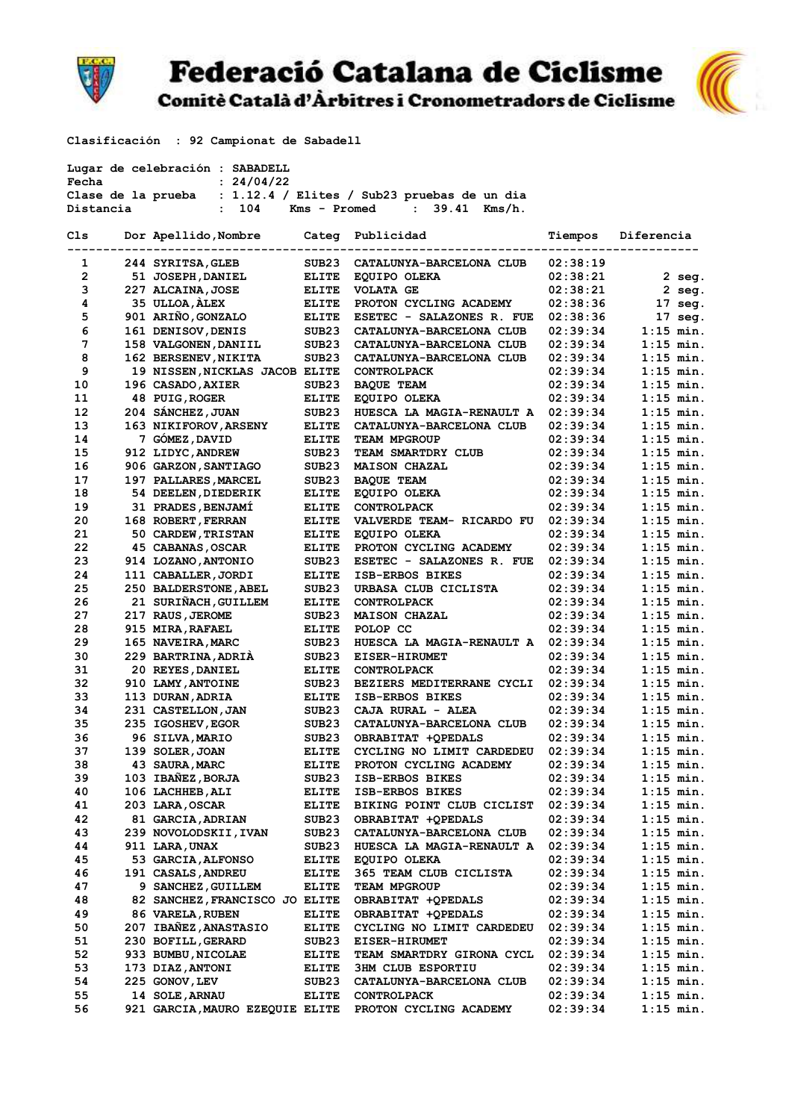

Comitè Català d'Àrbitres i Cronometradors de Ciclisme



Clasificación : 92 Campionat de Sabadell

| Lugar de celebración : SABADELL                    |  |                                        |                   |                                                                |                      |                            |  |  |  |  |
|----------------------------------------------------|--|----------------------------------------|-------------------|----------------------------------------------------------------|----------------------|----------------------------|--|--|--|--|
| Fecha                                              |  | : 24/04/22                             |                   |                                                                |                      |                            |  |  |  |  |
|                                                    |  |                                        |                   | Clase de la prueba : 1.12.4 / Elites / Sub23 pruebas de un dia |                      |                            |  |  |  |  |
| $: 104$ Kms - Promed $: 39.41$ Kms/h.<br>Distancia |  |                                        |                   |                                                                |                      |                            |  |  |  |  |
| Cls                                                |  | Dor Apellido, Nombre Categ Publicidad  |                   |                                                                | Tiempos              | Diferencia                 |  |  |  |  |
| $\mathbf{1}$                                       |  | 244 SYRITSA, GLEB                      | SUB23             | CATALUNYA-BARCELONA CLUB                                       | 02:38:19             |                            |  |  |  |  |
| $\overline{2}$                                     |  | 51 JOSEPH, DANIEL                      | ELITE             | EQUIPO OLEKA                                                   | 02:38:21             | $2$ seg.                   |  |  |  |  |
| 3                                                  |  | 227 ALCAINA, JOSE                      | <b>ELITE</b>      | <b>VOLATA GE</b>                                               | 02:38:21             | 2 seg.                     |  |  |  |  |
| 4                                                  |  | 35 ULLOA, ALEX                         | <b>ELITE</b>      | PROTON CYCLING ACADEMY                                         | 02:38:36             | $17 \text{ sec.}$          |  |  |  |  |
| 5                                                  |  | 901 ARIÑO, GONZALO                     | ELITE             | ESETEC - SALAZONES R. FUE                                      | 02:38:36             | $17$ seq.                  |  |  |  |  |
| 6                                                  |  | 161 DENISOV, DENIS                     | SUB23             | CATALUNYA-BARCELONA CLUB                                       | 02:39:34             | $1:15$ min.                |  |  |  |  |
| 7                                                  |  | 158 VALGONEN, DANIIL                   | SUB23             | CATALUNYA-BARCELONA CLUB                                       | 02:39:34             | $1:15$ min.                |  |  |  |  |
| 8                                                  |  | 162 BERSENEV, NIKITA                   | SUB23             | CATALUNYA-BARCELONA CLUB                                       | 02:39:34             | $1:15$ min.                |  |  |  |  |
| 9                                                  |  | 19 NISSEN, NICKLAS JACOB ELITE         |                   | <b>CONTROLPACK</b>                                             | 02:39:34             | $1:15$ min.                |  |  |  |  |
| 10                                                 |  | 196 CASADO, AXIER                      | SUB23             | <b>BAQUE TEAM</b>                                              | 02:39:34             | $1:15$ min.                |  |  |  |  |
| 11                                                 |  | 48 PUIG, ROGER                         | ELITE             | EQUIPO OLEKA                                                   | 02:39:34             | $1:15$ min.                |  |  |  |  |
| 12                                                 |  | 204 SÁNCHEZ, JUAN                      | SUB <sub>23</sub> | HUESCA LA MAGIA-RENAULT A                                      | 02:39:34             | $1:15$ min.                |  |  |  |  |
| 13                                                 |  | 163 NIKIFOROV, ARSENY                  | <b>ELITE</b>      | CATALUNYA-BARCELONA CLUB                                       | 02:39:34             | $1:15$ min.                |  |  |  |  |
| 14                                                 |  | 7 GÓMEZ, DAVID                         | <b>ELITE</b>      | <b>TEAM MPGROUP</b>                                            | 02:39:34             | $1:15$ min.                |  |  |  |  |
| 15                                                 |  | 912 LIDYC, ANDREW                      | SUB <sub>23</sub> | <b>TEAM SMARTDRY CLUB</b>                                      | 02:39:34             | $1:15$ min.                |  |  |  |  |
| 16                                                 |  | 906 GARZON, SANTIAGO                   | SUB23             | <b>MAISON CHAZAL</b>                                           | 02:39:34             | $1:15$ min.                |  |  |  |  |
| 17                                                 |  | 197 PALLARES, MARCEL                   | SUB23             | <b>BAQUE TEAM</b>                                              | 02:39:34             | $1:15$ min.                |  |  |  |  |
| 18                                                 |  | 54 DEELEN, DIEDERIK                    | <b>ELITE</b>      | EQUIPO OLEKA                                                   | 02:39:34             | $1:15$ min.                |  |  |  |  |
| 19                                                 |  | 31 PRADES, BENJAMI                     | ELITE             | <b>CONTROLPACK</b>                                             | 02:39:34             | $1:15$ min.                |  |  |  |  |
| 20                                                 |  | 168 ROBERT, FERRAN                     | ELITE             | VALVERDE TEAM- RICARDO FU                                      | 02:39:34             | $1:15$ min.                |  |  |  |  |
| 21                                                 |  | 50 CARDEW, TRISTAN                     | ELITE             | EQUIPO OLEKA                                                   | 02:39:34             | $1:15$ min.                |  |  |  |  |
| 22                                                 |  | 45 CABANAS, OSCAR                      | ELITE             | PROTON CYCLING ACADEMY                                         | 02:39:34             | $1:15$ min.                |  |  |  |  |
| 23                                                 |  | 914 LOZANO, ANTONIO                    | SUB23             | ESETEC - SALAZONES R. FUE                                      | 02:39:34             | $1:15$ min.                |  |  |  |  |
| 24                                                 |  | 111 CABALLER, JORDI                    | ELITE             | ISB-ERBOS BIKES                                                | 02:39:34             | $1:15$ min.                |  |  |  |  |
| 25                                                 |  | 250 BALDERSTONE, ABEL                  | SUB <sub>23</sub> | URBASA CLUB CICLISTA                                           | 02:39:34             | $1:15$ min.                |  |  |  |  |
| 26                                                 |  | 21 SURIÑACH, GUILLEM                   | <b>ELITE</b>      | <b>CONTROLPACK</b>                                             | 02:39:34             | $1:15$ min.                |  |  |  |  |
| 27                                                 |  | 217 RAUS, JEROME                       | SUB23             | <b>MAISON CHAZAL</b>                                           | 02:39:34             | $1:15$ min.                |  |  |  |  |
| 28                                                 |  | 915 MIRA, RAFAEL                       | <b>ELITE</b>      | POLOP CC                                                       | 02:39:34             | $1:15$ min.                |  |  |  |  |
| 29                                                 |  | 165 NAVEIRA, MARC                      | SUB <sub>23</sub> | HUESCA LA MAGIA-RENAULT A                                      | 02:39:34             | $1:15$ min.                |  |  |  |  |
| 30                                                 |  | 229 BARTRINA, ADRIA                    | SUB23             | <b>EISER-HIRUMET</b>                                           | 02:39:34             | $1:15$ min.                |  |  |  |  |
| 31                                                 |  | 20 REYES, DANIEL                       | ELITE             | <b>CONTROLPACK</b>                                             | 02:39:34             | $1:15$ min.                |  |  |  |  |
| 32<br>33                                           |  | 910 LAMY, ANTOINE                      | SUB23<br>ELITE    | <b>BEZIERS MEDITERRANE CYCLI</b><br>ISB-ERBOS BIKES            | 02:39:34             | $1:15$ min.<br>$1:15$ min. |  |  |  |  |
| 34                                                 |  | 113 DURAN, ADRIA<br>231 CASTELLON, JAN | SUB23             | CAJA RURAL - ALEA                                              | 02:39:34<br>02:39:34 | $1:15$ min.                |  |  |  |  |
| 35                                                 |  | 235 IGOSHEV, EGOR                      | SUB23             | CATALUNYA-BARCELONA CLUB                                       | 02:39:34             | $1:15$ min.                |  |  |  |  |
| 36                                                 |  | 96 SILVA,MARIO                         | SUB23             | OBRABITAT +QPEDALS                                             | 02:39:34             | $1:15$ min.                |  |  |  |  |
| 37                                                 |  | 139 SOLER, JOAN                        | ELITE             | CYCLING NO LIMIT CARDEDEU                                      | 02:39:34             | $1:15$ min.                |  |  |  |  |
| 38                                                 |  | 43 SAURA, MARC                         | <b>ELITE</b>      | PROTON CYCLING ACADEMY                                         | 02:39:34             | $1:15$ min.                |  |  |  |  |
| 39                                                 |  | 103 IBAÑEZ, BORJA                      | SUB23             | ISB-ERBOS BIKES                                                | 02:39:34             | $1:15$ min.                |  |  |  |  |
| 40                                                 |  | 106 LACHHEB, ALI                       | <b>ELITE</b>      | ISB-ERBOS BIKES                                                | 02:39:34             | $1:15$ min.                |  |  |  |  |
| 41                                                 |  | 203 LARA, OSCAR                        | ELITE             | BIKING POINT CLUB CICLIST                                      | 02:39:34             | $1:15$ min.                |  |  |  |  |
| 42                                                 |  | 81 GARCIA, ADRIAN                      | SUB23             | OBRABITAT +QPEDALS                                             | 02:39:34             | $1:15$ min.                |  |  |  |  |
| 43                                                 |  | 239 NOVOLODSKII,IVAN                   | SUB23             | CATALUNYA-BARCELONA CLUB                                       | 02:39:34             | $1:15$ min.                |  |  |  |  |
| 44                                                 |  | 911 LARA, UNAX                         | SUB23             | HUESCA LA MAGIA-RENAULT A                                      | 02:39:34             | $1:15$ min.                |  |  |  |  |
| 45                                                 |  | 53 GARCIA, ALFONSO                     | <b>ELITE</b>      | EQUIPO OLEKA                                                   | 02:39:34             | $1:15$ min.                |  |  |  |  |
| 46                                                 |  | 191 CASALS, ANDREU                     | ELITE             | 365 TEAM CLUB CICLISTA                                         | 02:39:34             | $1:15$ min.                |  |  |  |  |
| 47                                                 |  | 9 SANCHEZ, GUILLEM                     | <b>ELITE</b>      | <b>TEAM MPGROUP</b>                                            | 02:39:34             | $1:15$ min.                |  |  |  |  |
| 48                                                 |  | 82 SANCHEZ, FRANCISCO JO ELITE         |                   | OBRABITAT +QPEDALS                                             | 02:39:34             | $1:15$ min.                |  |  |  |  |
| 49                                                 |  | 86 VARELA, RUBEN                       | <b>ELITE</b>      | OBRABITAT +QPEDALS                                             | 02:39:34             | $1:15$ min.                |  |  |  |  |
| 50                                                 |  | 207 IBAÑEZ, ANASTASIO                  | <b>ELITE</b>      | CYCLING NO LIMIT CARDEDEU                                      | 02:39:34             | $1:15$ min.                |  |  |  |  |
| 51                                                 |  | 230 BOFILL, GERARD                     | SUB23             | <b>EISER-HIRUMET</b>                                           | 02:39:34             | $1:15$ min.                |  |  |  |  |
| 52                                                 |  | 933 BUMBU, NICOLAE                     | <b>ELITE</b>      | <b>TEAM SMARTDRY GIRONA CYCL</b>                               | 02:39:34             | $1:15$ min.                |  |  |  |  |
| 53                                                 |  | 173 DIAZ, ANTONI                       | <b>ELITE</b>      | <b>3HM CLUB ESPORTIU</b>                                       | 02:39:34             | $1:15$ min.                |  |  |  |  |
| 54                                                 |  | 225 GONOV, LEV                         | SUB23             | CATALUNYA-BARCELONA CLUB                                       | 02:39:34             | $1:15$ min.                |  |  |  |  |
| 55                                                 |  | 14 SOLE, ARNAU                         | ELITE             | <b>CONTROLPACK</b>                                             | 02:39:34             | $1:15$ min.                |  |  |  |  |
| 56                                                 |  | 921 GARCIA, MAURO EZEQUIE ELITE        |                   | PROTON CYCLING ACADEMY                                         | 02:39:34             | $1:15$ min.                |  |  |  |  |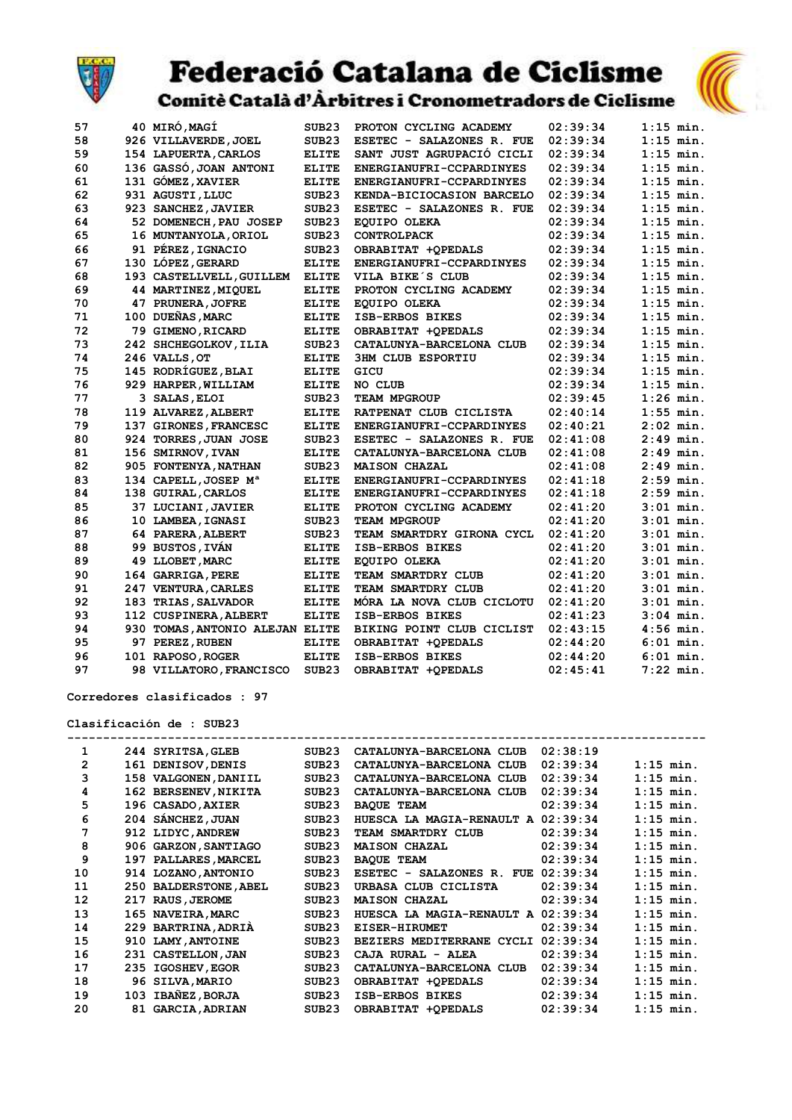



Comitè Català d'Àrbitres i Cronometradors de Ciclisme

| 57 | 40 MIRÓ, MAGÍ                    | SUB <sub>23</sub> | PROTON CYCLING ACADEMY    | 02:39:34 | $1:15$ min. |
|----|----------------------------------|-------------------|---------------------------|----------|-------------|
| 58 | 926 VILLAVERDE, JOEL             | SUB23             | ESETEC - SALAZONES R. FUE | 02:39:34 | $1:15$ min. |
| 59 | 154 LAPUERTA, CARLOS             | <b>ELITE</b>      | SANT JUST AGRUPACIÓ CICLI | 02:39:34 | $1:15$ min. |
| 60 | 136 GASSÓ, JOAN ANTONI           | <b>ELITE</b>      | ENERGIANUFRI-CCPARDINYES  | 02:39:34 | $1:15$ min. |
| 61 | 131 GÓMEZ, XAVIER                | <b>ELITE</b>      | ENERGIANUFRI-CCPARDINYES  | 02:39:34 | $1:15$ min. |
| 62 | 931 AGUSTI, LLUC                 | SUB <sub>23</sub> | KENDA-BICIOCASION BARCELO | 02:39:34 | $1:15$ min. |
| 63 | 923 SANCHEZ, JAVIER              | SUB23             | ESETEC - SALAZONES R. FUE | 02:39:34 | $1:15$ min. |
| 64 | 52 DOMENECH, PAU JOSEP           | SUB <sub>23</sub> | EQUIPO OLEKA              | 02:39:34 | $1:15$ min. |
| 65 | 16 MUNTANYOLA, ORIOL             | SUB23             | <b>CONTROLPACK</b>        | 02:39:34 | $1:15$ min. |
| 66 | 91 PÉREZ, IGNACIO                | SUB <sub>23</sub> | OBRABITAT +OPEDALS        | 02:39:34 | $1:15$ min. |
| 67 | 130 LÓPEZ, GERARD                | <b>ELITE</b>      | ENERGIANUFRI-CCPARDINYES  | 02:39:34 | $1:15$ min. |
| 68 | 193 CASTELLVELL, GUILLEM         | <b>ELITE</b>      | VILA BIKE S CLUB          | 02:39:34 | $1:15$ min. |
| 69 | 44 MARTINEZ, MIQUEL              | <b>ELITE</b>      | PROTON CYCLING ACADEMY    | 02:39:34 | $1:15$ min. |
| 70 | 47 PRUNERA, JOFRE                | <b>ELITE</b>      | EQUIPO OLEKA              | 02:39:34 | $1:15$ min. |
| 71 | 100 DUEÑAS, MARC                 | <b>ELITE</b>      | ISB-ERBOS BIKES           | 02:39:34 | $1:15$ min. |
| 72 | 79 GIMENO, RICARD                | <b>ELITE</b>      | OBRABITAT +OPEDALS        | 02:39:34 | $1:15$ min. |
| 73 | 242 SHCHEGOLKOV, ILIA            | SUB23             | CATALUNYA-BARCELONA CLUB  | 02:39:34 | $1:15$ min. |
| 74 | 246 VALLS, OT                    | <b>ELITE</b>      | <b>3HM CLUB ESPORTIU</b>  | 02:39:34 | $1:15$ min. |
| 75 | 145 RODRÍGUEZ, BLAI              | <b>ELITE</b>      | GICU                      | 02:39:34 | $1:15$ min. |
| 76 | 929 HARPER, WILLIAM              | <b>ELITE</b>      | NO CLUB                   | 02:39:34 | $1:15$ min. |
| 77 | 3 SALAS, ELOI                    | SUB <sub>23</sub> | <b>TEAM MPGROUP</b>       | 02:39:45 | $1:26$ min. |
| 78 | 119 ALVAREZ, ALBERT              | <b>ELITE</b>      | RATPENAT CLUB CICLISTA    | 02:40:14 | $1:55$ min. |
| 79 | 137 GIRONES, FRANCESC            | <b>ELITE</b>      | ENERGIANUFRI-CCPARDINYES  | 02:40:21 | $2:02$ min. |
| 80 | 924 TORRES, JUAN JOSE            | SUB23             | ESETEC - SALAZONES R. FUE | 02:41:08 | $2:49$ min. |
| 81 | 156 SMIRNOV, IVAN                | <b>ELITE</b>      | CATALUNYA-BARCELONA CLUB  | 02:41:08 | $2:49$ min. |
| 82 | 905 FONTENYA, NATHAN             | SUB <sub>23</sub> | <b>MAISON CHAZAL</b>      | 02:41:08 | $2:49$ min. |
| 83 | 134 CAPELL, JOSEP M <sup>a</sup> | <b>ELITE</b>      | ENERGIANUFRI-CCPARDINYES  | 02:41:18 | $2:59$ min. |
| 84 | 138 GUIRAL, CARLOS               | <b>ELITE</b>      | ENERGIANUFRI-CCPARDINYES  | 02:41:18 | $2:59$ min. |
| 85 | 37 LUCIANI, JAVIER               | <b>ELITE</b>      | PROTON CYCLING ACADEMY    | 02:41:20 | $3:01$ min. |
| 86 | 10 LAMBEA, IGNASI                | SUB23             | TEAM MPGROUP              | 02:41:20 | $3:01$ min. |
| 87 | 64 PARERA, ALBERT                | SUB <sub>23</sub> | TEAM SMARTDRY GIRONA CYCL | 02:41:20 | $3:01$ min. |
| 88 | 99 BUSTOS, IVÁN                  | <b>ELITE</b>      | <b>ISB-ERBOS BIKES</b>    | 02:41:20 | $3:01$ min. |
| 89 | 49 LLOBET, MARC                  | <b>ELITE</b>      | EQUIPO OLEKA              | 02:41:20 | $3:01$ min. |
| 90 | 164 GARRIGA, PERE                | <b>ELITE</b>      | TEAM SMARTDRY CLUB        | 02:41:20 | $3:01$ min. |
| 91 | 247 VENTURA, CARLES              | <b>ELITE</b>      | TEAM SMARTDRY CLUB        | 02:41:20 | $3:01$ min. |
| 92 | 183 TRIAS, SALVADOR              | <b>ELITE</b>      | MÓRA LA NOVA CLUB CICLOTU | 02:41:20 | $3:01$ min. |
| 93 | 112 CUSPINERA, ALBERT            | <b>ELITE</b>      | <b>ISB-ERBOS BIKES</b>    | 02:41:23 | $3:04$ min. |
| 94 | 930 TOMAS, ANTONIO ALEJAN ELITE  |                   | BIKING POINT CLUB CICLIST | 02:43:15 | $4:56$ min. |
| 95 | 97 PEREZ, RUBEN                  | <b>ELITE</b>      | OBRABITAT +OPEDALS        | 02:44:20 | $6:01$ min. |
| 96 | 101 RAPOSO, ROGER                | <b>ELITE</b>      | ISB-ERBOS BIKES           | 02:44:20 | $6:01$ min. |
| 97 | 98 VILLATORO, FRANCISCO          | SUB <sub>23</sub> | OBRABITAT +OPEDALS        | 02:45:41 | $7:22$ min. |

Corredores clasificados : 97

Clasificación de : SUB23

| 1  |     | 244 SYRITSA, GLEB     | SUB <sub>23</sub> | CATALUNYA-BARCELONA CLUB           | 02:38:19 |             |
|----|-----|-----------------------|-------------------|------------------------------------|----------|-------------|
| 2  |     | 161 DENISOV, DENIS    | SUB <sub>23</sub> | CATALUNYA-BARCELONA CLUB           | 02:39:34 | $1:15$ min. |
| 3  |     | 158 VALGONEN, DANIIL  | SUB23             | CATALUNYA-BARCELONA CLUB           | 02:39:34 | $1:15$ min. |
| 4  |     | 162 BERSENEV, NIKITA  | SUB <sub>23</sub> | CATALUNYA-BARCELONA CLUB           | 02:39:34 | $1:15$ min. |
| 5  |     | 196 CASADO, AXIER     | SUB <sub>23</sub> | <b>BAQUE TEAM</b>                  | 02:39:34 | $1:15$ min. |
| 6  |     | 204 SÁNCHEZ, JUAN     | SUB <sub>23</sub> | HUESCA LA MAGIA-RENAULT A          | 02:39:34 | $1:15$ min. |
| 7  |     | 912 LIDYC, ANDREW     | SUB <sub>23</sub> | TEAM SMARTDRY CLUB                 | 02:39:34 | $1:15$ min. |
| 8  |     | 906 GARZON, SANTIAGO  | SUB <sub>23</sub> | <b>MAISON CHAZAL</b>               | 02:39:34 | $1:15$ min. |
| 9  |     | 197 PALLARES, MARCEL  | SUB23             | <b>BAQUE TEAM</b>                  | 02:39:34 | $1:15$ min. |
| 10 |     | 914 LOZANO, ANTONIO   | SUB <sub>23</sub> | ESETEC - SALAZONES R. FUE          | 02:39:34 | $1:15$ min. |
| 11 |     | 250 BALDERSTONE, ABEL | SUB <sub>23</sub> | URBASA CLUB CICLISTA               | 02:39:34 | $1:15$ min. |
| 12 | 217 | <b>RAUS, JEROME</b>   | SUB <sub>23</sub> | <b>MAISON CHAZAL</b>               | 02:39:34 | $1:15$ min. |
| 13 |     | 165 NAVEIRA, MARC     | SUB <sub>23</sub> | HUESCA LA MAGIA-RENAULT A 02:39:34 |          | $1:15$ min. |
| 14 |     | 229 BARTRINA, ADRIA   | SUB23             | <b>EISER-HIRUMET</b>               | 02:39:34 | $1:15$ min. |
| 15 | 910 | <b>LAMY, ANTOINE</b>  | SUB <sub>23</sub> | BEZIERS MEDITERRANE CYCLI          | 02:39:34 | $1:15$ min. |
| 16 | 231 | <b>CASTELLON, JAN</b> | SUB <sub>23</sub> | CAJA RURAL - ALEA                  | 02:39:34 | $1:15$ min. |
| 17 |     | 235 IGOSHEV, EGOR     | SUB <sub>23</sub> | CATALUNYA-BARCELONA CLUB           | 02:39:34 | $1:15$ min. |
| 18 |     | 96 SILVA, MARIO       | SUB <sub>23</sub> | OBRABITAT +OPEDALS                 | 02:39:34 | $1:15$ min. |
| 19 | 103 | <b>IBAÑEZ, BORJA</b>  | SUB <sub>23</sub> | ISB-ERBOS BIKES                    | 02:39:34 | $1:15$ min. |
| 20 | 81  | <b>GARCIA, ADRIAN</b> | SUB <sub>23</sub> | OBRABITAT +OPEDALS                 | 02:39:34 | $1:15$ min. |
|    |     |                       |                   |                                    |          |             |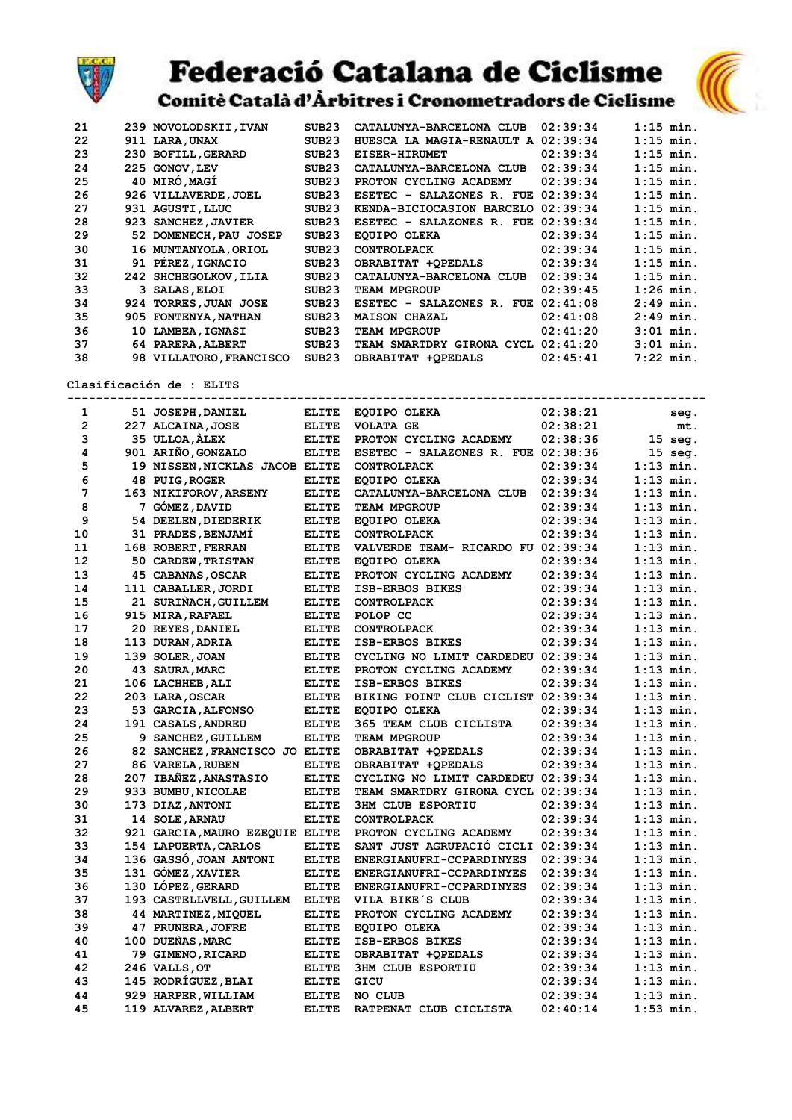

Comitè Català d'Àrbitres i Cronometradors de Ciclisme

| 21 | 239 NOVOLODSKII, IVAN   | SUB <sub>23</sub> | CATALUNYA-BARCELONA CLUB  | 02:39:34 | $1:15$ min. |
|----|-------------------------|-------------------|---------------------------|----------|-------------|
| 22 | 911 LARA, UNAX          | SUB <sub>23</sub> | HUESCA LA MAGIA-RENAULT A | 02:39:34 | $1:15$ min. |
| 23 | 230 BOFILL, GERARD      | SUB <sub>23</sub> | <b>EISER-HIRUMET</b>      | 02:39:34 | $1:15$ min. |
| 24 | 225 GONOV, LEV          | SUB <sub>23</sub> | CATALUNYA-BARCELONA CLUB  | 02:39:34 | $1:15$ min. |
| 25 | 40 MIRÓ, MAGÍ           | SUB23             | PROTON CYCLING ACADEMY    | 02:39:34 | $1:15$ min. |
| 26 | 926 VILLAVERDE, JOEL    | SUB23             | ESETEC - SALAZONES R. FUE | 02:39:34 | $1:15$ min. |
| 27 | 931 AGUSTI, LLUC        | SUB <sub>23</sub> | KENDA-BICIOCASION BARCELO | 02:39:34 | $1:15$ min. |
| 28 | 923 SANCHEZ, JAVIER     | SUB <sub>23</sub> | ESETEC - SALAZONES R. FUE | 02:39:34 | $1:15$ min. |
| 29 | 52 DOMENECH, PAU JOSEP  | SUB <sub>23</sub> | <b>EOUIPO OLEKA</b>       | 02:39:34 | $1:15$ min. |
| 30 | 16 MUNTANYOLA, ORIOL    | SUB <sub>23</sub> | <b>CONTROLPACK</b>        | 02:39:34 | $1:15$ min. |
| 31 | 91 PÉREZ, IGNACIO       | SUB <sub>23</sub> | OBRABITAT +OPEDALS        | 02:39:34 | $1:15$ min. |
| 32 | 242 SHCHEGOLKOV, ILIA   | SUB <sub>23</sub> | CATALUNYA-BARCELONA CLUB  | 02:39:34 | $1:15$ min. |
| 33 | 3 SALAS, ELOI           | SUB <sub>23</sub> | <b>TEAM MPGROUP</b>       | 02:39:45 | $1:26$ min. |
| 34 | 924 TORRES, JUAN JOSE   | SUB <sub>23</sub> | ESETEC - SALAZONES R. FUE | 02:41:08 | $2:49$ min. |
| 35 | 905 FONTENYA, NATHAN    | SUB <sub>23</sub> | <b>MAISON CHAZAL</b>      | 02:41:08 | $2:49$ min. |
| 36 | 10 LAMBEA, IGNASI       | SUB <sub>23</sub> | TEAM MPGROUP              | 02:41:20 | $3:01$ min. |
| 37 | 64 PARERA, ALBERT       | SUB <sub>23</sub> | TEAM SMARTDRY GIRONA CYCL | 02:41:20 | $3:01$ min. |
| 38 | 98 VILLATORO, FRANCISCO | SUB <sub>23</sub> | OBRABITAT +OPEDALS        | 02:45:41 | $7:22$ min. |

Clasificación de : ELITS

|                |                                 |              | --------------------------         | ------------------------------ |             |           |
|----------------|---------------------------------|--------------|------------------------------------|--------------------------------|-------------|-----------|
| 1              | 51 JOSEPH, DANIEL               | <b>ELITE</b> | EQUIPO OLEKA                       | 02:38:21                       |             | seq.      |
| $\overline{2}$ | 227 ALCAINA, JOSE               | <b>ELITE</b> | <b>VOLATA GE</b>                   | 02:38:21                       |             | mt.       |
| 3              | 35 ULLOA, ALEX                  | <b>ELITE</b> | PROTON CYCLING ACADEMY             | 02:38:36                       |             | $15$ seq. |
| 4              | 901 ARIÑO, GONZALO              | <b>ELITE</b> | ESETEC - SALAZONES R. FUE 02:38:36 |                                |             | 15 seg.   |
| 5              | 19 NISSEN, NICKLAS JACOB ELITE  |              | <b>CONTROLPACK</b>                 | 02:39:34                       | $1:13$ min. |           |
| 6              | 48 PUIG, ROGER                  | <b>ELITE</b> | <b>EOUIPO OLEKA</b>                | 02:39:34                       | $1:13$ min. |           |
| 7              | 163 NIKIFOROV, ARSENY           | <b>ELITE</b> | CATALUNYA-BARCELONA CLUB           | 02:39:34                       | $1:13$ min. |           |
| 8              | 7 GOMEZ, DAVID                  | <b>ELITE</b> | <b>TEAM MPGROUP</b>                | 02:39:34                       | $1:13$ min. |           |
| 9              | 54 DEELEN, DIEDERIK             | <b>ELITE</b> | EQUIPO OLEKA                       | 02:39:34                       | $1:13$ min. |           |
| 10             | 31 PRADES, BENJAMÍ              | <b>ELITE</b> | <b>CONTROLPACK</b>                 | 02:39:34                       | $1:13$ min. |           |
| 11             | 168 ROBERT, FERRAN              | <b>ELITE</b> | VALVERDE TEAM- RICARDO FU 02:39:34 |                                | $1:13$ min. |           |
| 12             | 50 CARDEW, TRISTAN              | <b>ELITE</b> | EQUIPO OLEKA                       | 02:39:34                       | $1:13$ min. |           |
| 13             | 45 CABANAS, OSCAR               | <b>ELITE</b> | PROTON CYCLING ACADEMY             | 02:39:34                       | $1:13$ min. |           |
| 14             | 111 CABALLER, JORDI             | <b>ELITE</b> | ISB-ERBOS BIKES                    | 02:39:34                       | $1:13$ min. |           |
| 15             | 21 SURIÑACH, GUILLEM            | <b>ELITE</b> | <b>CONTROLPACK</b>                 | 02:39:34                       | $1:13$ min. |           |
| 16             | 915 MIRA, RAFAEL                | <b>ELITE</b> | POLOP CC                           | 02:39:34                       | $1:13$ min. |           |
| 17             | 20 REYES, DANIEL                | <b>ELITE</b> | <b>CONTROLPACK</b>                 | 02:39:34                       | $1:13$ min. |           |
| 18             | 113 DURAN, ADRIA                | <b>ELITE</b> | ISB-ERBOS BIKES                    | 02:39:34                       | $1:13$ min. |           |
| 19             | 139 SOLER, JOAN                 | <b>ELITE</b> | CYCLING NO LIMIT CARDEDEU 02:39:34 |                                | $1:13$ min. |           |
| 20             | 43 SAURA, MARC                  | <b>ELITE</b> | PROTON CYCLING ACADEMY             | 02:39:34                       | $1:13$ min. |           |
| 21             | 106 LACHHEB, ALI                | <b>ELITE</b> | <b>ISB-ERBOS BIKES</b>             | 02:39:34                       | $1:13$ min. |           |
| 22             | 203 LARA, OSCAR                 | <b>ELITE</b> | BIKING POINT CLUB CICLIST 02:39:34 |                                | $1:13$ min. |           |
| 23             | 53 GARCIA, ALFONSO              | <b>ELITE</b> | <b>EOUIPO OLEKA</b>                | 02:39:34                       | $1:13$ min. |           |
| 24             | 191 CASALS, ANDREU              | <b>ELITE</b> | 365 TEAM CLUB CICLISTA             | 02:39:34                       | $1:13$ min. |           |
| 25             | 9 SANCHEZ, GUILLEM              | <b>ELITE</b> | <b>TEAM MPGROUP</b>                | 02:39:34                       | $1:13$ min. |           |
| 26             | 82 SANCHEZ, FRANCISCO JO ELITE  |              | OBRABITAT +OPEDALS                 | 02:39:34                       | $1:13$ min. |           |
| 27             | 86 VARELA, RUBEN                | <b>ELITE</b> | OBRABITAT +OPEDALS                 | 02:39:34                       | $1:13$ min. |           |
| 28             | 207 IBAÑEZ, ANASTASIO           | <b>ELITE</b> | CYCLING NO LIMIT CARDEDEU 02:39:34 |                                | $1:13$ min. |           |
| 29             | 933 BUMBU, NICOLAE              | <b>ELITE</b> | TEAM SMARTDRY GIRONA CYCL 02:39:34 |                                | $1:13$ min. |           |
| 30             | 173 DIAZ, ANTONI                | <b>ELITE</b> | <b>3HM CLUB ESPORTIU</b>           | 02:39:34                       | $1:13$ min. |           |
| 31             | 14 SOLE, ARNAU                  | <b>ELITE</b> | <b>CONTROLPACK</b>                 | 02:39:34                       | $1:13$ min. |           |
| 32             | 921 GARCIA, MAURO EZEQUIE ELITE |              | PROTON CYCLING ACADEMY             | 02:39:34                       | $1:13$ min. |           |
| 33             | 154 LAPUERTA, CARLOS            | <b>ELITE</b> | SANT JUST AGRUPACIÓ CICLI 02:39:34 |                                | $1:13$ min. |           |
| 34             | 136 GASSÓ, JOAN ANTONI          | <b>ELITE</b> | ENERGIANUFRI-CCPARDINYES           | 02:39:34                       | $1:13$ min. |           |
| 35             | 131 GÓMEZ, XAVIER               | <b>ELITE</b> | ENERGIANUFRI-CCPARDINYES           | 02:39:34                       | $1:13$ min. |           |
| 36             | 130 LOPEZ, GERARD               | <b>ELITE</b> | ENERGIANUFRI-CCPARDINYES           | 02:39:34                       | $1:13$ min. |           |
| 37             | 193 CASTELLVELL, GUILLEM        | <b>ELITE</b> | VILA BIKE'S CLUB                   | 02:39:34                       | $1:13$ min. |           |
| 38             | 44 MARTINEZ, MIQUEL             | <b>ELITE</b> | PROTON CYCLING ACADEMY             | 02:39:34                       | $1:13$ min. |           |
| 39             | 47 PRUNERA, JOFRE               | <b>ELITE</b> | EQUIPO OLEKA                       | 02:39:34                       | $1:13$ min. |           |
| 40             | 100 DUEÑAS, MARC                | <b>ELITE</b> | ISB-ERBOS BIKES                    | 02:39:34                       | $1:13$ min. |           |
| 41             | 79 GIMENO, RICARD               | <b>ELITE</b> | OBRABITAT +QPEDALS                 | 02:39:34                       | $1:13$ min. |           |
| 42             | 246 VALLS, OT                   | <b>ELITE</b> | <b>3HM CLUB ESPORTIU</b>           | 02:39:34                       | $1:13$ min. |           |
| 43             | 145 RODRÍGUEZ, BLAI             | ELITE        | GICU                               | 02:39:34                       | $1:13$ min. |           |
| 44             | 929 HARPER, WILLIAM             | <b>ELITE</b> | NO CLUB                            | 02:39:34                       | $1:13$ min. |           |
|                |                                 |              |                                    |                                |             |           |
| 45             | 119 ALVAREZ, ALBERT             | <b>ELITE</b> | RATPENAT CLUB CICLISTA             | 02:40:14                       | $1:53$ min. |           |